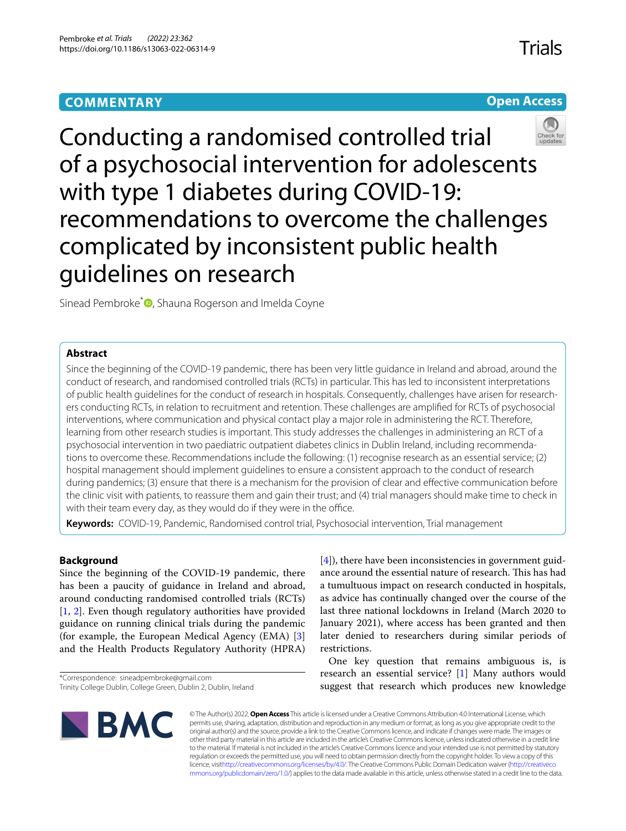# **COMMENTARY**

# **Open Access**



Conducting a randomised controlled trial of a psychosocial intervention for adolescents with type 1 diabetes during COVID-19: recommendations to overcome the challenges complicated by inconsistent public health guidelines on research

Sinead Pembroke<sup>\*</sup><sup>O</sup>[,](http://orcid.org/0000-0002-1409-1893) Shauna Rogerson and Imelda Coyne

# **Abstract**

Since the beginning of the COVID-19 pandemic, there has been very little guidance in Ireland and abroad, around the conduct of research, and randomised controlled trials (RCTs) in particular. This has led to inconsistent interpretations of public health guidelines for the conduct of research in hospitals. Consequently, challenges have arisen for researchers conducting RCTs, in relation to recruitment and retention. These challenges are amplifed for RCTs of psychosocial interventions, where communication and physical contact play a major role in administering the RCT. Therefore, learning from other research studies is important. This study addresses the challenges in administering an RCT of a psychosocial intervention in two paediatric outpatient diabetes clinics in Dublin Ireland, including recommendations to overcome these. Recommendations include the following: (1) recognise research as an essential service; (2) hospital management should implement guidelines to ensure a consistent approach to the conduct of research during pandemics; (3) ensure that there is a mechanism for the provision of clear and efective communication before the clinic visit with patients, to reassure them and gain their trust; and (4) trial managers should make time to check in with their team every day, as they would do if they were in the office.

**Keywords:** COVID-19, Pandemic, Randomised control trial, Psychosocial intervention, Trial management

# **Background**

Since the beginning of the COVID-19 pandemic, there has been a paucity of guidance in Ireland and abroad, around conducting randomised controlled trials (RCTs) [[1,](#page-6-0) [2](#page-6-1)]. Even though regulatory authorities have provided guidance on running clinical trials during the pandemic (for example, the European Medical Agency (EMA) [\[3](#page-6-2)] and the Health Products Regulatory Authority (HPRA)

\*Correspondence: sineadpembroke@gmail.com

[[4\]](#page-6-3)), there have been inconsistencies in government guidance around the essential nature of research. This has had a tumultuous impact on research conducted in hospitals, as advice has continually changed over the course of the last three national lockdowns in Ireland (March 2020 to January 2021), where access has been granted and then later denied to researchers during similar periods of restrictions.

One key question that remains ambiguous is, is research an essential service? [\[1](#page-6-0)] Many authors would suggest that research which produces new knowledge



© The Author(s) 2022. **Open Access** This article is licensed under a Creative Commons Attribution 4.0 International License, which permits use, sharing, adaptation, distribution and reproduction in any medium or format, as long as you give appropriate credit to the original author(s) and the source, provide a link to the Creative Commons licence, and indicate if changes were made. The images or other third party material in this article are included in the article's Creative Commons licence, unless indicated otherwise in a credit line to the material. If material is not included in the article's Creative Commons licence and your intended use is not permitted by statutory regulation or exceeds the permitted use, you will need to obtain permission directly from the copyright holder. To view a copy of this licence, visi[thttp://creativecommons.org/licenses/by/4.0/](http://creativecommons.org/licenses/by/4.0/). The Creative Commons Public Domain Dedication waiver [\(http://creativeco](http://creativecommons.org/publicdomain/zero/1.0/) [mmons.org/publicdomain/zero/1.0/](http://creativecommons.org/publicdomain/zero/1.0/)) applies to the data made available in this article, unless otherwise stated in a credit line to the data.

Trinity College Dublin, College Green, Dublin 2, Dublin, Ireland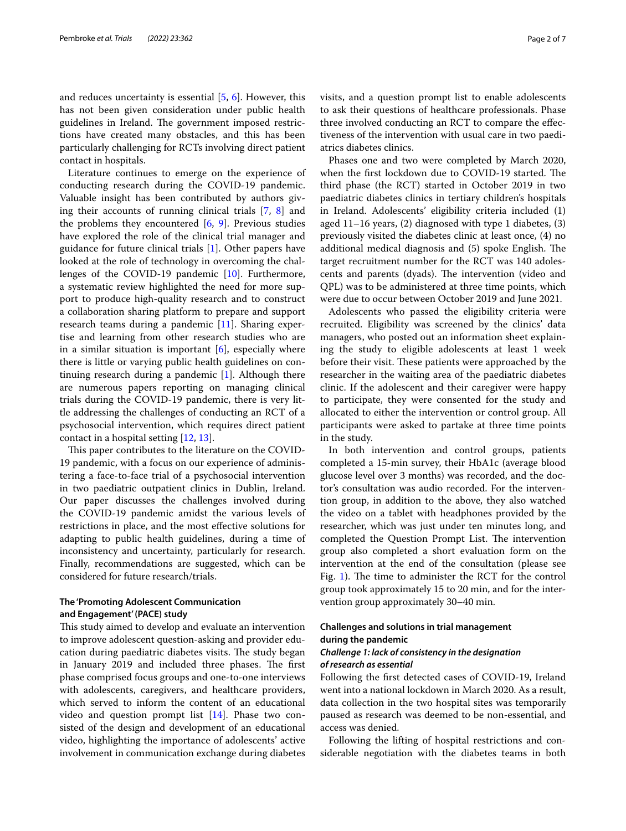and reduces uncertainty is essential [\[5](#page-6-4), [6](#page-6-5)]. However, this has not been given consideration under public health guidelines in Ireland. The government imposed restrictions have created many obstacles, and this has been particularly challenging for RCTs involving direct patient contact in hospitals.

Literature continues to emerge on the experience of conducting research during the COVID-19 pandemic. Valuable insight has been contributed by authors giving their accounts of running clinical trials [[7,](#page-6-6) [8\]](#page-6-7) and the problems they encountered  $[6, 9]$  $[6, 9]$  $[6, 9]$  $[6, 9]$ . Previous studies have explored the role of the clinical trial manager and guidance for future clinical trials [[1\]](#page-6-0). Other papers have looked at the role of technology in overcoming the challenges of the COVID-19 pandemic [[10\]](#page-6-9). Furthermore, a systematic review highlighted the need for more support to produce high-quality research and to construct a collaboration sharing platform to prepare and support research teams during a pandemic [\[11\]](#page-6-10). Sharing expertise and learning from other research studies who are in a similar situation is important [[6\]](#page-6-5), especially where there is little or varying public health guidelines on continuing research during a pandemic [\[1](#page-6-0)]. Although there are numerous papers reporting on managing clinical trials during the COVID-19 pandemic, there is very little addressing the challenges of conducting an RCT of a psychosocial intervention, which requires direct patient contact in a hospital setting [[12](#page-6-11), [13\]](#page-6-12).

This paper contributes to the literature on the COVID-19 pandemic, with a focus on our experience of administering a face-to-face trial of a psychosocial intervention in two paediatric outpatient clinics in Dublin, Ireland. Our paper discusses the challenges involved during the COVID-19 pandemic amidst the various levels of restrictions in place, and the most efective solutions for adapting to public health guidelines, during a time of inconsistency and uncertainty, particularly for research. Finally, recommendations are suggested, which can be considered for future research/trials.

## **The 'Promoting Adolescent Communication and Engagement' (PACE) study**

This study aimed to develop and evaluate an intervention to improve adolescent question-asking and provider education during paediatric diabetes visits. The study began in January 2019 and included three phases. The first phase comprised focus groups and one-to-one interviews with adolescents, caregivers, and healthcare providers, which served to inform the content of an educational video and question prompt list [[14\]](#page-6-13). Phase two consisted of the design and development of an educational video, highlighting the importance of adolescents' active involvement in communication exchange during diabetes visits, and a question prompt list to enable adolescents to ask their questions of healthcare professionals. Phase three involved conducting an RCT to compare the efectiveness of the intervention with usual care in two paediatrics diabetes clinics.

Phases one and two were completed by March 2020, when the first lockdown due to COVID-19 started. The third phase (the RCT) started in October 2019 in two paediatric diabetes clinics in tertiary children's hospitals in Ireland. Adolescents' eligibility criteria included (1) aged 11–16 years, (2) diagnosed with type 1 diabetes, (3) previously visited the diabetes clinic at least once, (4) no additional medical diagnosis and (5) spoke English. The target recruitment number for the RCT was 140 adolescents and parents (dyads). The intervention (video and QPL) was to be administered at three time points, which were due to occur between October 2019 and June 2021.

Adolescents who passed the eligibility criteria were recruited. Eligibility was screened by the clinics' data managers, who posted out an information sheet explaining the study to eligible adolescents at least 1 week before their visit. These patients were approached by the researcher in the waiting area of the paediatric diabetes clinic. If the adolescent and their caregiver were happy to participate, they were consented for the study and allocated to either the intervention or control group. All participants were asked to partake at three time points in the study.

In both intervention and control groups, patients completed a 15-min survey, their HbA1c (average blood glucose level over 3 months) was recorded, and the doctor's consultation was audio recorded. For the intervention group, in addition to the above, they also watched the video on a tablet with headphones provided by the researcher, which was just under ten minutes long, and completed the Question Prompt List. The intervention group also completed a short evaluation form on the intervention at the end of the consultation (please see Fig. [1](#page-2-0)). The time to administer the RCT for the control group took approximately 15 to 20 min, and for the intervention group approximately 30–40 min.

### **Challenges and solutions in trial management during the pandemic**

#### *Challenge 1: lack of consistency in the designation of research as essential*

Following the frst detected cases of COVID-19, Ireland went into a national lockdown in March 2020. As a result, data collection in the two hospital sites was temporarily paused as research was deemed to be non-essential, and access was denied.

Following the lifting of hospital restrictions and considerable negotiation with the diabetes teams in both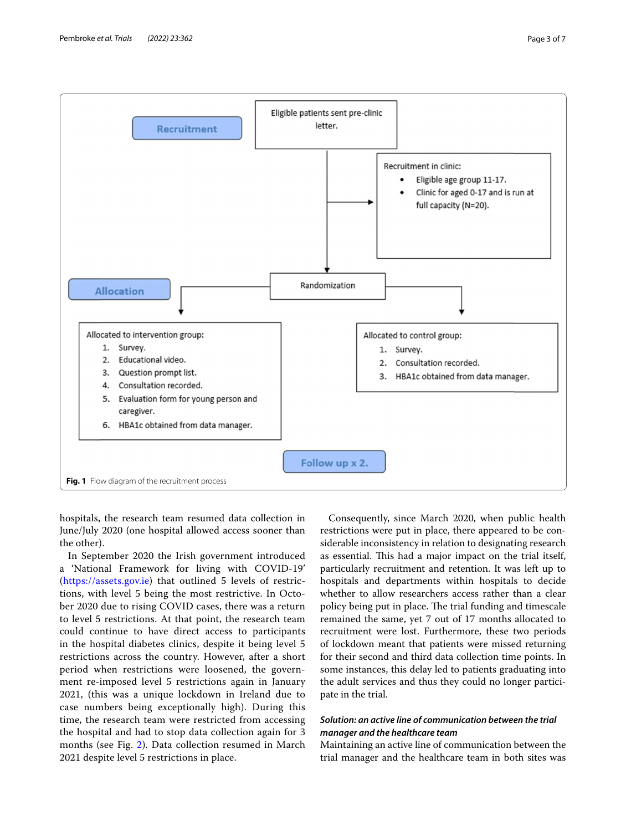

<span id="page-2-0"></span>hospitals, the research team resumed data collection in June/July 2020 (one hospital allowed access sooner than the other).

In September 2020 the Irish government introduced a 'National Framework for living with COVID-19' (<https://assets.gov.ie>) that outlined 5 levels of restrictions, with level 5 being the most restrictive. In October 2020 due to rising COVID cases, there was a return to level 5 restrictions. At that point, the research team could continue to have direct access to participants in the hospital diabetes clinics, despite it being level 5 restrictions across the country. However, after a short period when restrictions were loosened, the government re-imposed level 5 restrictions again in January 2021, (this was a unique lockdown in Ireland due to case numbers being exceptionally high). During this time, the research team were restricted from accessing the hospital and had to stop data collection again for 3 months (see Fig. [2](#page-3-0)). Data collection resumed in March 2021 despite level 5 restrictions in place.

Consequently, since March 2020, when public health restrictions were put in place, there appeared to be considerable inconsistency in relation to designating research as essential. This had a major impact on the trial itself, particularly recruitment and retention. It was left up to hospitals and departments within hospitals to decide whether to allow researchers access rather than a clear policy being put in place. The trial funding and timescale remained the same, yet 7 out of 17 months allocated to recruitment were lost. Furthermore, these two periods of lockdown meant that patients were missed returning for their second and third data collection time points. In some instances, this delay led to patients graduating into the adult services and thus they could no longer participate in the trial.

# *Solution: an active line of communication between the trial manager and the healthcare team*

Maintaining an active line of communication between the trial manager and the healthcare team in both sites was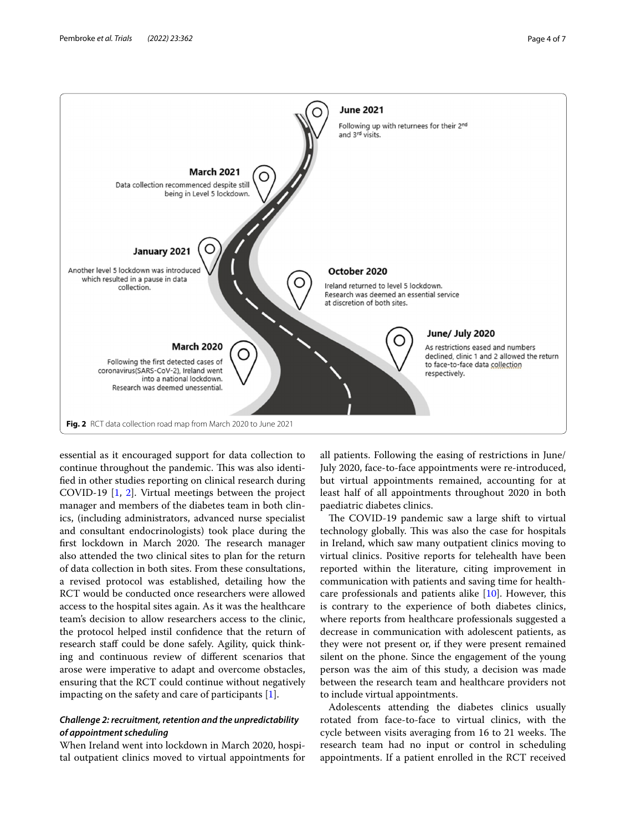

<span id="page-3-0"></span>essential as it encouraged support for data collection to continue throughout the pandemic. This was also identifed in other studies reporting on clinical research during COVID-19 [[1,](#page-6-0) [2\]](#page-6-1). Virtual meetings between the project manager and members of the diabetes team in both clinics, (including administrators, advanced nurse specialist and consultant endocrinologists) took place during the first lockdown in March 2020. The research manager also attended the two clinical sites to plan for the return of data collection in both sites. From these consultations, a revised protocol was established, detailing how the RCT would be conducted once researchers were allowed access to the hospital sites again. As it was the healthcare team's decision to allow researchers access to the clinic, the protocol helped instil confdence that the return of research staff could be done safely. Agility, quick thinking and continuous review of diferent scenarios that arose were imperative to adapt and overcome obstacles, ensuring that the RCT could continue without negatively impacting on the safety and care of participants [\[1](#page-6-0)].

# *Challenge 2: recruitment, retention and the unpredictability of appointment scheduling*

When Ireland went into lockdown in March 2020, hospital outpatient clinics moved to virtual appointments for

all patients. Following the easing of restrictions in June/ July 2020, face-to-face appointments were re-introduced, but virtual appointments remained, accounting for at least half of all appointments throughout 2020 in both paediatric diabetes clinics.

The COVID-19 pandemic saw a large shift to virtual technology globally. This was also the case for hospitals in Ireland, which saw many outpatient clinics moving to virtual clinics. Positive reports for telehealth have been reported within the literature, citing improvement in communication with patients and saving time for healthcare professionals and patients alike [[10\]](#page-6-9). However, this is contrary to the experience of both diabetes clinics, where reports from healthcare professionals suggested a decrease in communication with adolescent patients, as they were not present or, if they were present remained silent on the phone. Since the engagement of the young person was the aim of this study, a decision was made between the research team and healthcare providers not to include virtual appointments.

Adolescents attending the diabetes clinics usually rotated from face-to-face to virtual clinics, with the cycle between visits averaging from 16 to 21 weeks. The research team had no input or control in scheduling appointments. If a patient enrolled in the RCT received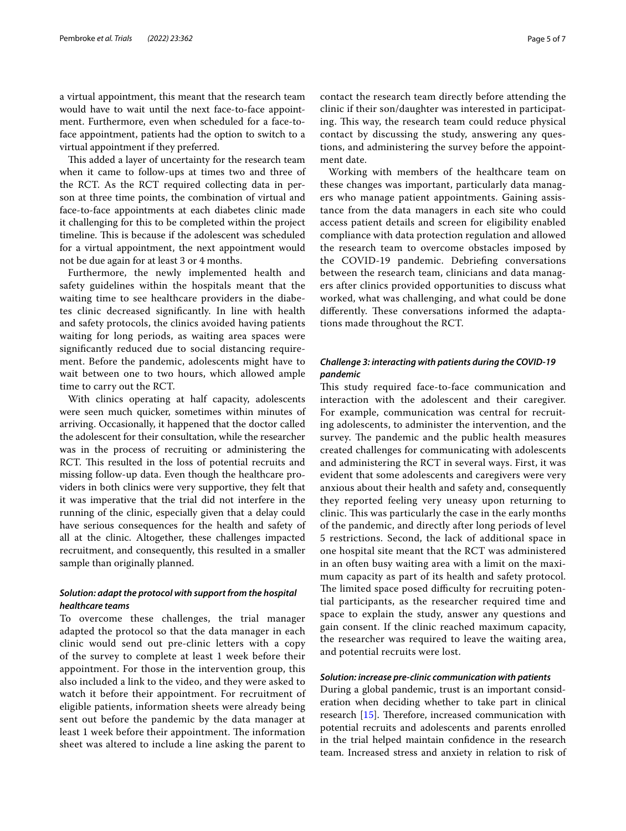a virtual appointment, this meant that the research team would have to wait until the next face-to-face appointment. Furthermore, even when scheduled for a face-toface appointment, patients had the option to switch to a virtual appointment if they preferred.

This added a layer of uncertainty for the research team when it came to follow-ups at times two and three of the RCT. As the RCT required collecting data in person at three time points, the combination of virtual and face-to-face appointments at each diabetes clinic made it challenging for this to be completed within the project timeline. This is because if the adolescent was scheduled for a virtual appointment, the next appointment would not be due again for at least 3 or 4 months.

Furthermore, the newly implemented health and safety guidelines within the hospitals meant that the waiting time to see healthcare providers in the diabetes clinic decreased signifcantly. In line with health and safety protocols, the clinics avoided having patients waiting for long periods, as waiting area spaces were signifcantly reduced due to social distancing requirement. Before the pandemic, adolescents might have to wait between one to two hours, which allowed ample time to carry out the RCT.

With clinics operating at half capacity, adolescents were seen much quicker, sometimes within minutes of arriving. Occasionally, it happened that the doctor called the adolescent for their consultation, while the researcher was in the process of recruiting or administering the RCT. This resulted in the loss of potential recruits and missing follow-up data. Even though the healthcare providers in both clinics were very supportive, they felt that it was imperative that the trial did not interfere in the running of the clinic, especially given that a delay could have serious consequences for the health and safety of all at the clinic. Altogether, these challenges impacted recruitment, and consequently, this resulted in a smaller sample than originally planned.

### *Solution: adapt the protocol with support from the hospital healthcare teams*

To overcome these challenges, the trial manager adapted the protocol so that the data manager in each clinic would send out pre-clinic letters with a copy of the survey to complete at least 1 week before their appointment. For those in the intervention group, this also included a link to the video, and they were asked to watch it before their appointment. For recruitment of eligible patients, information sheets were already being sent out before the pandemic by the data manager at least 1 week before their appointment. The information sheet was altered to include a line asking the parent to contact the research team directly before attending the clinic if their son/daughter was interested in participating. This way, the research team could reduce physical contact by discussing the study, answering any questions, and administering the survey before the appointment date.

Working with members of the healthcare team on these changes was important, particularly data managers who manage patient appointments. Gaining assistance from the data managers in each site who could access patient details and screen for eligibility enabled compliance with data protection regulation and allowed the research team to overcome obstacles imposed by the COVID-19 pandemic. Debriefng conversations between the research team, clinicians and data managers after clinics provided opportunities to discuss what worked, what was challenging, and what could be done differently. These conversations informed the adaptations made throughout the RCT.

# *Challenge 3: interacting with patients during the COVID‑19 pandemic*

This study required face-to-face communication and interaction with the adolescent and their caregiver. For example, communication was central for recruiting adolescents, to administer the intervention, and the survey. The pandemic and the public health measures created challenges for communicating with adolescents and administering the RCT in several ways. First, it was evident that some adolescents and caregivers were very anxious about their health and safety and, consequently they reported feeling very uneasy upon returning to clinic. This was particularly the case in the early months of the pandemic, and directly after long periods of level 5 restrictions. Second, the lack of additional space in one hospital site meant that the RCT was administered in an often busy waiting area with a limit on the maximum capacity as part of its health and safety protocol. The limited space posed difficulty for recruiting potential participants, as the researcher required time and space to explain the study, answer any questions and gain consent. If the clinic reached maximum capacity, the researcher was required to leave the waiting area, and potential recruits were lost.

#### *Solution: increase pre‑clinic communication with patients*

During a global pandemic, trust is an important consideration when deciding whether to take part in clinical research  $[15]$  $[15]$ . Therefore, increased communication with potential recruits and adolescents and parents enrolled in the trial helped maintain confdence in the research team. Increased stress and anxiety in relation to risk of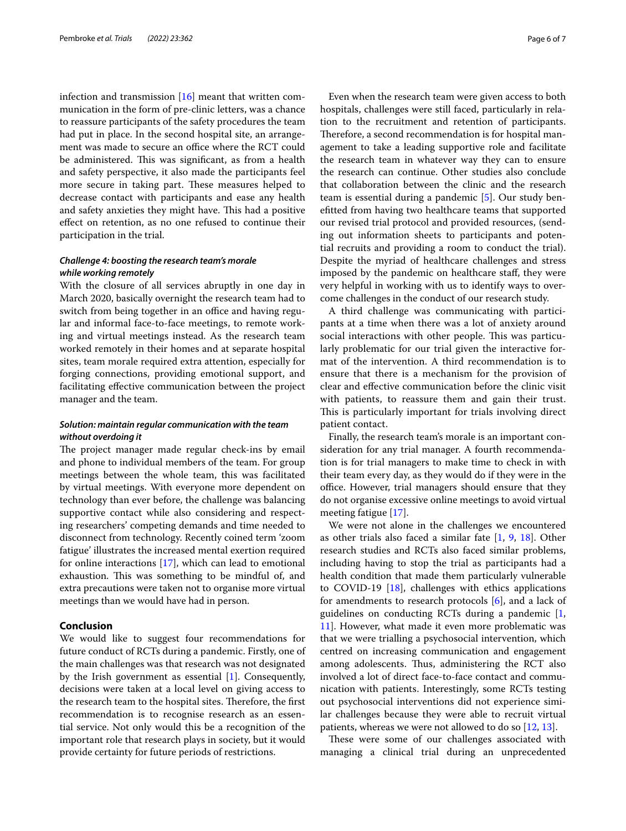infection and transmission  $[16]$  $[16]$  meant that written communication in the form of pre-clinic letters, was a chance to reassure participants of the safety procedures the team had put in place. In the second hospital site, an arrangement was made to secure an office where the RCT could be administered. This was significant, as from a health and safety perspective, it also made the participants feel more secure in taking part. These measures helped to decrease contact with participants and ease any health and safety anxieties they might have. This had a positive efect on retention, as no one refused to continue their participation in the trial.

## *Challenge 4: boosting the research team's morale while working remotely*

With the closure of all services abruptly in one day in March 2020, basically overnight the research team had to switch from being together in an office and having regular and informal face-to-face meetings, to remote working and virtual meetings instead. As the research team worked remotely in their homes and at separate hospital sites, team morale required extra attention, especially for forging connections, providing emotional support, and facilitating efective communication between the project manager and the team.

## *Solution: maintain regular communication with the team without overdoing it*

The project manager made regular check-ins by email and phone to individual members of the team. For group meetings between the whole team, this was facilitated by virtual meetings. With everyone more dependent on technology than ever before, the challenge was balancing supportive contact while also considering and respecting researchers' competing demands and time needed to disconnect from technology. Recently coined term 'zoom fatigue' illustrates the increased mental exertion required for online interactions [[17\]](#page-6-16), which can lead to emotional exhaustion. This was something to be mindful of, and extra precautions were taken not to organise more virtual meetings than we would have had in person.

## **Conclusion**

We would like to suggest four recommendations for future conduct of RCTs during a pandemic. Firstly, one of the main challenges was that research was not designated by the Irish government as essential [\[1](#page-6-0)]. Consequently, decisions were taken at a local level on giving access to the research team to the hospital sites. Therefore, the first recommendation is to recognise research as an essential service. Not only would this be a recognition of the important role that research plays in society, but it would provide certainty for future periods of restrictions.

Even when the research team were given access to both hospitals, challenges were still faced, particularly in relation to the recruitment and retention of participants. Therefore, a second recommendation is for hospital management to take a leading supportive role and facilitate the research team in whatever way they can to ensure the research can continue. Other studies also conclude that collaboration between the clinic and the research team is essential during a pandemic [[5\]](#page-6-4). Our study beneftted from having two healthcare teams that supported our revised trial protocol and provided resources, (sending out information sheets to participants and potential recruits and providing a room to conduct the trial). Despite the myriad of healthcare challenges and stress imposed by the pandemic on healthcare staf, they were very helpful in working with us to identify ways to overcome challenges in the conduct of our research study.

A third challenge was communicating with participants at a time when there was a lot of anxiety around social interactions with other people. This was particularly problematic for our trial given the interactive format of the intervention. A third recommendation is to ensure that there is a mechanism for the provision of clear and efective communication before the clinic visit with patients, to reassure them and gain their trust. This is particularly important for trials involving direct patient contact.

Finally, the research team's morale is an important consideration for any trial manager. A fourth recommendation is for trial managers to make time to check in with their team every day, as they would do if they were in the office. However, trial managers should ensure that they do not organise excessive online meetings to avoid virtual meeting fatigue [[17\]](#page-6-16).

We were not alone in the challenges we encountered as other trials also faced a similar fate [\[1](#page-6-0), [9](#page-6-8), [18\]](#page-6-17). Other research studies and RCTs also faced similar problems, including having to stop the trial as participants had a health condition that made them particularly vulnerable to COVID-19 [[18\]](#page-6-17), challenges with ethics applications for amendments to research protocols [[6\]](#page-6-5), and a lack of guidelines on conducting RCTs during a pandemic [\[1](#page-6-0), [11\]](#page-6-10). However, what made it even more problematic was that we were trialling a psychosocial intervention, which centred on increasing communication and engagement among adolescents. Thus, administering the RCT also involved a lot of direct face-to-face contact and communication with patients. Interestingly, some RCTs testing out psychosocial interventions did not experience similar challenges because they were able to recruit virtual patients, whereas we were not allowed to do so  $[12, 13]$  $[12, 13]$  $[12, 13]$  $[12, 13]$ .

These were some of our challenges associated with managing a clinical trial during an unprecedented